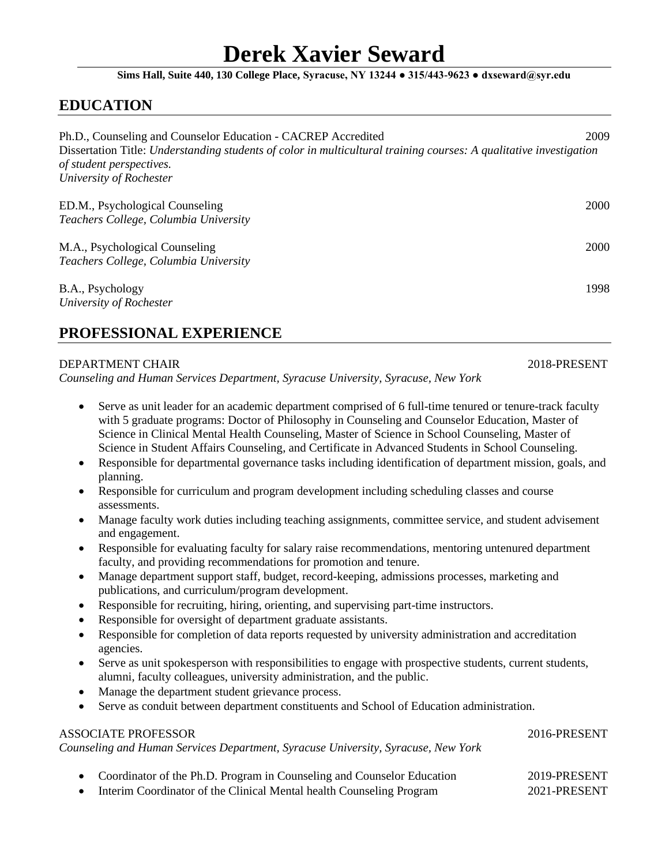# **Derek Xavier Seward**

### **Sims Hall, Suite 440, 130 College Place, Syracuse, NY 13244 ● 315/443-9623 ● dxseward@syr.edu**

### **EDUCATION**

| Ph.D., Counseling and Counselor Education - CACREP Accredited                                                      |      |
|--------------------------------------------------------------------------------------------------------------------|------|
| Dissertation Title: Understanding students of color in multicultural training courses: A qualitative investigation |      |
| of student perspectives.                                                                                           |      |
| University of Rochester                                                                                            |      |
| ED.M., Psychological Counseling                                                                                    | 2000 |
| Teachers College, Columbia University                                                                              |      |
| M.A., Psychological Counseling                                                                                     | 2000 |
| Teachers College, Columbia University                                                                              |      |
| B.A., Psychology                                                                                                   | 1998 |
| University of Rochester                                                                                            |      |
|                                                                                                                    |      |

# **PROFESSIONAL EXPERIENCE**

### DEPARTMENT CHAIR 2018-PRESENT

*Counseling and Human Services Department, Syracuse University, Syracuse, New York*

- Serve as unit leader for an academic department comprised of 6 full-time tenured or tenure-track faculty with 5 graduate programs: Doctor of Philosophy in Counseling and Counselor Education, Master of Science in Clinical Mental Health Counseling, Master of Science in School Counseling, Master of Science in Student Affairs Counseling, and Certificate in Advanced Students in School Counseling.
- Responsible for departmental governance tasks including identification of department mission, goals, and planning.
- Responsible for curriculum and program development including scheduling classes and course assessments.
- Manage faculty work duties including teaching assignments, committee service, and student advisement and engagement.
- Responsible for evaluating faculty for salary raise recommendations, mentoring untenured department faculty, and providing recommendations for promotion and tenure.
- Manage department support staff, budget, record-keeping, admissions processes, marketing and publications, and curriculum/program development.
- Responsible for recruiting, hiring, orienting, and supervising part-time instructors.
- Responsible for oversight of department graduate assistants.
- Responsible for completion of data reports requested by university administration and accreditation agencies.
- Serve as unit spokesperson with responsibilities to engage with prospective students, current students, alumni, faculty colleagues, university administration, and the public.
- Manage the department student grievance process.
- Serve as conduit between department constituents and School of Education administration.

### ASSOCIATE PROFESSOR 2016-PRESENT

*Counseling and Human Services Department, Syracuse University, Syracuse, New York*

• Coordinator of the Ph.D. Program in Counseling and Counselor Education 2019-PRESENT • Interim Coordinator of the Clinical Mental health Counseling Program 2021-PRESENT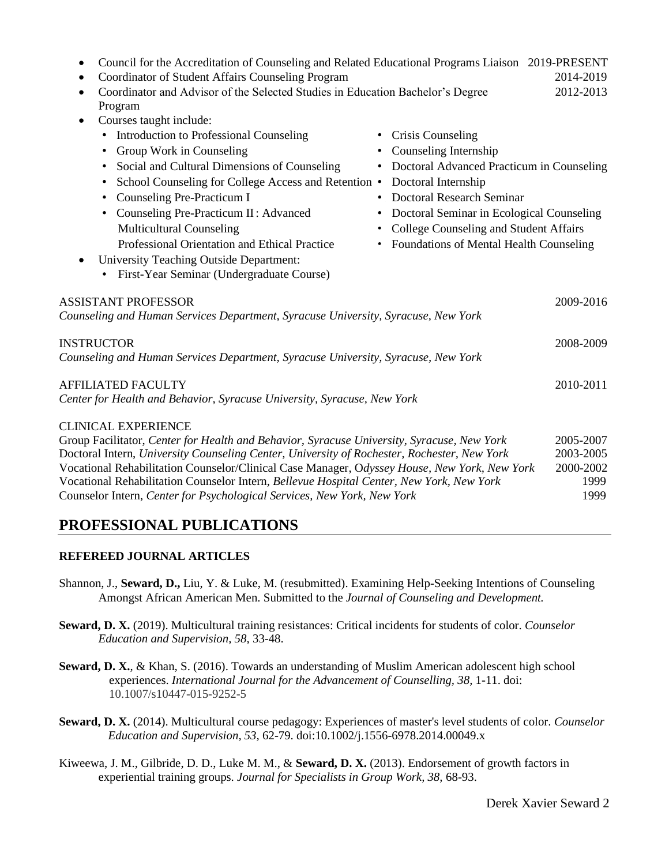| Council for the Accreditation of Counseling and Related Educational Programs Liaison 2019-PRESENT<br>Coordinator of Student Affairs Counseling Program<br>$\bullet$<br>Coordinator and Advisor of the Selected Studies in Education Bachelor's Degree<br>$\bullet$<br>Program                                                                                                                                                                                                                                                                                                                                                                                                                                                                                                                    | 2014-2019<br>2012-2013                              |
|--------------------------------------------------------------------------------------------------------------------------------------------------------------------------------------------------------------------------------------------------------------------------------------------------------------------------------------------------------------------------------------------------------------------------------------------------------------------------------------------------------------------------------------------------------------------------------------------------------------------------------------------------------------------------------------------------------------------------------------------------------------------------------------------------|-----------------------------------------------------|
| Courses taught include:<br>$\bullet$<br>Introduction to Professional Counseling<br>• Crisis Counseling<br>٠<br>Group Work in Counseling<br>Counseling Internship<br>Social and Cultural Dimensions of Counseling<br>Doctoral Advanced Practicum in Counseling<br>٠<br>School Counseling for College Access and Retention .<br>Doctoral Internship<br><b>Doctoral Research Seminar</b><br>Counseling Pre-Practicum I<br>٠<br>Counseling Pre-Practicum II: Advanced<br>• Doctoral Seminar in Ecological Counseling<br>$\bullet$<br><b>Multicultural Counseling</b><br>College Counseling and Student Affairs<br>Professional Orientation and Ethical Practice<br>• Foundations of Mental Health Counseling<br>University Teaching Outside Department:<br>First-Year Seminar (Undergraduate Course) |                                                     |
| <b>ASSISTANT PROFESSOR</b><br>Counseling and Human Services Department, Syracuse University, Syracuse, New York                                                                                                                                                                                                                                                                                                                                                                                                                                                                                                                                                                                                                                                                                  | 2009-2016                                           |
| <b>INSTRUCTOR</b><br>Counseling and Human Services Department, Syracuse University, Syracuse, New York                                                                                                                                                                                                                                                                                                                                                                                                                                                                                                                                                                                                                                                                                           | 2008-2009                                           |
| <b>AFFILIATED FACULTY</b><br>Center for Health and Behavior, Syracuse University, Syracuse, New York                                                                                                                                                                                                                                                                                                                                                                                                                                                                                                                                                                                                                                                                                             | 2010-2011                                           |
| <b>CLINICAL EXPERIENCE</b><br>Group Facilitator, Center for Health and Behavior, Syracuse University, Syracuse, New York<br>Doctoral Intern, University Counseling Center, University of Rochester, Rochester, New York<br>Vocational Rehabilitation Counselor/Clinical Case Manager, Odyssey House, New York, New York<br>Vocational Rehabilitation Counselor Intern, Bellevue Hospital Center, New York, New York<br>Counselor Intern, Center for Psychological Services, New York, New York                                                                                                                                                                                                                                                                                                   | 2005-2007<br>2003-2005<br>2000-2002<br>1999<br>1999 |

### **PROFESSIONAL PUBLICATIONS**

### **REFEREED JOURNAL ARTICLES**

- Shannon, J., **Seward, D.,** Liu, Y. & Luke, M. (resubmitted). Examining Help-Seeking Intentions of Counseling Amongst African American Men. Submitted to the *Journal of Counseling and Development.*
- **Seward, D. X.** (2019). Multicultural training resistances: Critical incidents for students of color. *Counselor Education and Supervision, 58,* 33-48.
- **Seward, D. X.**, & Khan, S. (2016). Towards an understanding of Muslim American adolescent high school experiences. *International Journal for the Advancement of Counselling, 38,* 1-11. doi: 10.1007/s10447-015-9252-5
- **Seward, D. X.** (2014). Multicultural course pedagogy: Experiences of master's level students of color. *Counselor Education and Supervision, 53,* 62-79. doi:10.1002/j.1556-6978.2014.00049.x
- Kiweewa, J. M., Gilbride, D. D., Luke M. M., & **Seward, D. X.** (2013). Endorsement of growth factors in experiential training groups. *Journal for Specialists in Group Work, 38,* 68-93.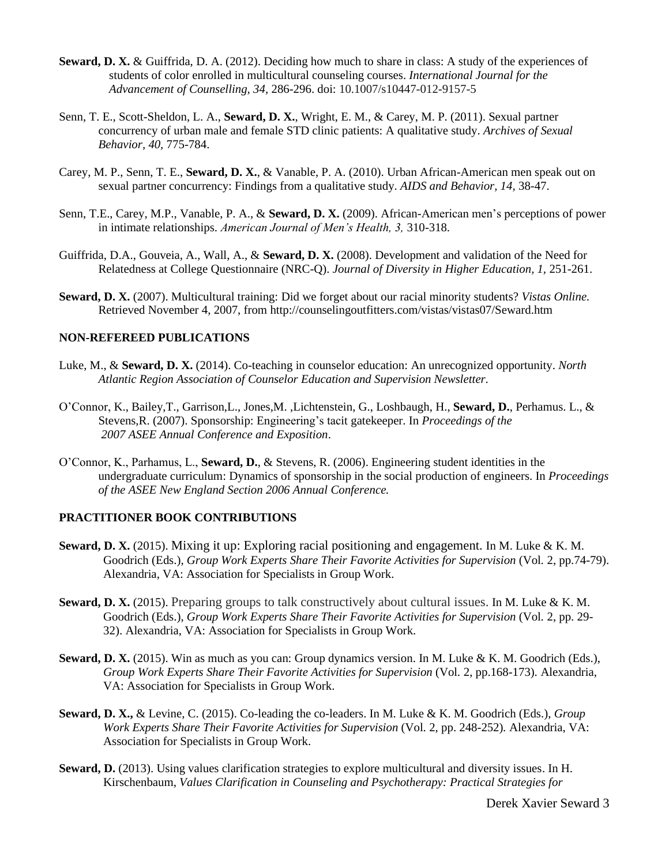- **Seward, D. X.** & Guiffrida, D. A. (2012). Deciding how much to share in class: A study of the experiences of students of color enrolled in multicultural counseling courses. *International Journal for the Advancement of Counselling, 34,* 286-296. doi: 10.1007/s10447-012-9157-5
- Senn, T. E., Scott-Sheldon, L. A., **Seward, D. X.**, Wright, E. M., & Carey, M. P. (2011). Sexual partner concurrency of urban male and female STD clinic patients: A qualitative study. *Archives of Sexual Behavior, 40,* 775-784.
- Carey, M. P., Senn, T. E., **Seward, D. X.**, & Vanable, P. A. (2010). Urban African-American men speak out on sexual partner concurrency: Findings from a qualitative study. *AIDS and Behavior, 14,* 38-47.
- Senn, T.E., Carey, M.P., Vanable, P. A., & **Seward, D. X.** (2009). African-American men's perceptions of power in intimate relationships. *American Journal of Men's Health, 3,* 310-318.
- Guiffrida, D.A., Gouveia, A., Wall, A., & **Seward, D. X.** (2008). Development and validation of the Need for Relatedness at College Questionnaire (NRC-Q). *Journal of Diversity in Higher Education, 1,* 251-261.
- **Seward, D. X.** (2007). Multicultural training: Did we forget about our racial minority students? *Vistas Online.* Retrieved November 4, 2007, from http://counselingoutfitters.com/vistas/vistas07/Seward.htm

#### **NON-REFEREED PUBLICATIONS**

- Luke, M., & **Seward, D. X.** (2014). Co-teaching in counselor education: An unrecognized opportunity. *North Atlantic Region Association of Counselor Education and Supervision Newsletter.*
- O'Connor, K., Bailey,T., Garrison,L., Jones,M. ,Lichtenstein, G., Loshbaugh, H., **Seward, D.**, Perhamus. L., & Stevens,R. (2007). Sponsorship: Engineering's tacit gatekeeper. In *Proceedings of the 2007 ASEE Annual Conference and Exposition*.
- O'Connor, K., Parhamus, L., **Seward, D.**, & Stevens, R. (2006). Engineering student identities in the undergraduate curriculum: Dynamics of sponsorship in the social production of engineers. In *Proceedings of the ASEE New England Section 2006 Annual Conference.*

#### **PRACTITIONER BOOK CONTRIBUTIONS**

- **Seward, D. X.** (2015). Mixing it up: Exploring racial positioning and engagement. In M. Luke & K. M. Goodrich (Eds.), *Group Work Experts Share Their Favorite Activities for Supervision* (Vol*.* 2, pp.74-79). Alexandria, VA: Association for Specialists in Group Work.
- **Seward, D. X.** (2015). Preparing groups to talk constructively about cultural issues. In M. Luke & K. M. Goodrich (Eds.), *Group Work Experts Share Their Favorite Activities for Supervision* (Vol*.* 2, pp. 29- 32). Alexandria, VA: Association for Specialists in Group Work.
- **Seward, D. X.** (2015). Win as much as you can: Group dynamics version. In M. Luke & K. M. Goodrich (Eds.), *Group Work Experts Share Their Favorite Activities for Supervision (Vol. 2, pp.168-173). Alexandria,* VA: Association for Specialists in Group Work.
- **Seward, D. X.,** & Levine, C. (2015). Co-leading the co-leaders. In M. Luke & K. M. Goodrich (Eds.), *Group Work Experts Share Their Favorite Activities for Supervision* (Vol*.* 2, pp. 248-252)*.* Alexandria, VA: Association for Specialists in Group Work.
- **Seward, D.** (2013). Using values clarification strategies to explore multicultural and diversity issues. In H. Kirschenbaum, *Values Clarification in Counseling and Psychotherapy: Practical Strategies for*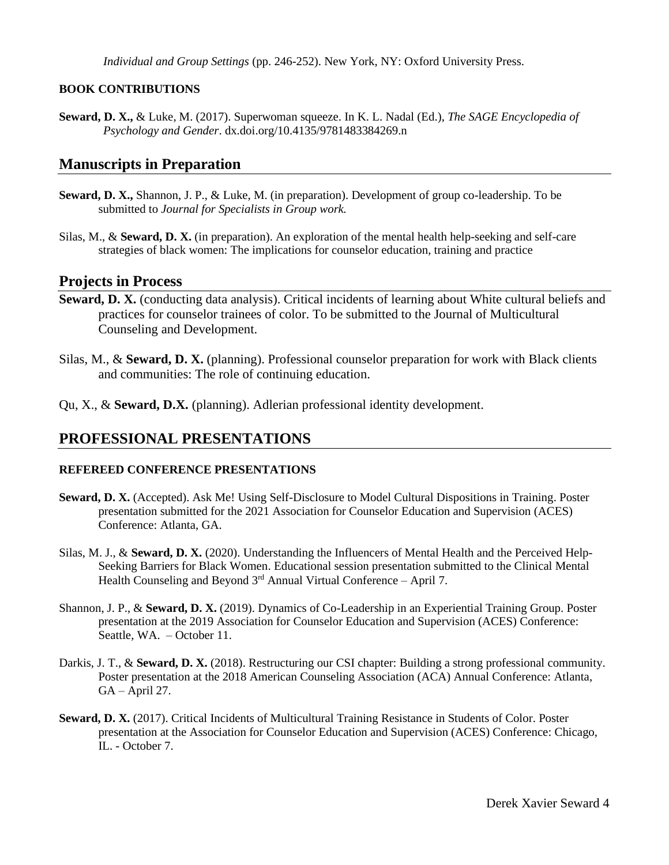*Individual and Group Settings* (pp. 246-252). New York, NY: Oxford University Press.

#### **BOOK CONTRIBUTIONS**

**Seward, D. X.,** & Luke, M. (2017). Superwoman squeeze. In K. L. Nadal (Ed.), *The SAGE Encyclopedia of Psychology and Gender*. dx.doi.org/10.4135/9781483384269.n

### **Manuscripts in Preparation**

- **Seward, D. X.,** Shannon, J. P., & Luke, M. (in preparation). Development of group co-leadership. To be submitted to *Journal for Specialists in Group work.*
- Silas, M., & **Seward, D. X.** (in preparation). An exploration of the mental health help-seeking and self-care strategies of black women: The implications for counselor education, training and practice

### **Projects in Process**

- **Seward, D. X.** (conducting data analysis). Critical incidents of learning about White cultural beliefs and practices for counselor trainees of color. To be submitted to the Journal of Multicultural Counseling and Development.
- Silas, M., & **Seward, D. X.** (planning). Professional counselor preparation for work with Black clients and communities: The role of continuing education.
- Qu, X., & **Seward, D.X.** (planning). Adlerian professional identity development.

### **PROFESSIONAL PRESENTATIONS**

### **REFEREED CONFERENCE PRESENTATIONS**

- **Seward, D. X.** (Accepted). Ask Me! Using Self-Disclosure to Model Cultural Dispositions in Training. Poster presentation submitted for the 2021 Association for Counselor Education and Supervision (ACES) Conference: Atlanta, GA.
- Silas, M. J., & **Seward, D. X.** (2020). Understanding the Influencers of Mental Health and the Perceived Help-Seeking Barriers for Black Women. Educational session presentation submitted to the Clinical Mental Health Counseling and Beyond 3rd Annual Virtual Conference - April 7.
- Shannon, J. P., & **Seward, D. X.** (2019). Dynamics of Co-Leadership in an Experiential Training Group. Poster presentation at the 2019 Association for Counselor Education and Supervision (ACES) Conference: Seattle, WA. – October 11.
- Darkis, J. T., & **Seward, D. X.** (2018). Restructuring our CSI chapter: Building a strong professional community. Poster presentation at the 2018 American Counseling Association (ACA) Annual Conference: Atlanta,  $GA - April 27.$
- **Seward, D. X.** (2017). Critical Incidents of Multicultural Training Resistance in Students of Color. Poster presentation at the Association for Counselor Education and Supervision (ACES) Conference: Chicago, IL. - October 7.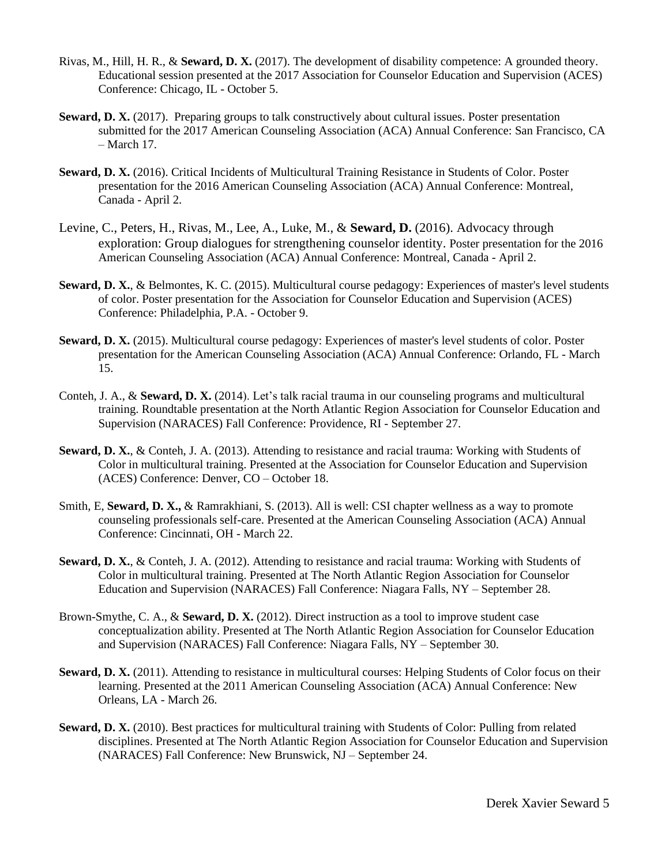- Rivas, M., Hill, H. R., & **Seward, D. X.** (2017). The development of disability competence: A grounded theory. Educational session presented at the 2017 Association for Counselor Education and Supervision (ACES) Conference: Chicago, IL - October 5.
- **Seward, D. X.** (2017). Preparing groups to talk constructively about cultural issues. Poster presentation submitted for the 2017 American Counseling Association (ACA) Annual Conference: San Francisco, CA – March 17.
- **Seward, D. X.** (2016). Critical Incidents of Multicultural Training Resistance in Students of Color. Poster presentation for the 2016 American Counseling Association (ACA) Annual Conference: Montreal, Canada - April 2.
- Levine, C., Peters, H., Rivas, M., Lee, A., Luke, M., & **Seward, D.** (2016). Advocacy through exploration: Group dialogues for strengthening counselor identity. Poster presentation for the 2016 American Counseling Association (ACA) Annual Conference: Montreal, Canada - April 2.
- **Seward, D. X.**, & Belmontes, K. C. (2015). Multicultural course pedagogy: Experiences of master's level students of color. Poster presentation for the Association for Counselor Education and Supervision (ACES) Conference: Philadelphia, P.A. - October 9.
- **Seward, D. X.** (2015). Multicultural course pedagogy: Experiences of master's level students of color. Poster presentation for the American Counseling Association (ACA) Annual Conference: Orlando, FL - March 15.
- Conteh, J. A., & **Seward, D. X.** (2014). Let's talk racial trauma in our counseling programs and multicultural training. Roundtable presentation at the North Atlantic Region Association for Counselor Education and Supervision (NARACES) Fall Conference: Providence, RI - September 27.
- **Seward, D. X.**, & Conteh, J. A. (2013). Attending to resistance and racial trauma: Working with Students of Color in multicultural training. Presented at the Association for Counselor Education and Supervision (ACES) Conference: Denver, CO – October 18.
- Smith, E, **Seward, D. X.,** & Ramrakhiani, S. (2013). All is well: CSI chapter wellness as a way to promote counseling professionals self-care. Presented at the American Counseling Association (ACA) Annual Conference: Cincinnati, OH - March 22.
- **Seward, D. X.**, & Conteh, J. A. (2012). Attending to resistance and racial trauma: Working with Students of Color in multicultural training. Presented at The North Atlantic Region Association for Counselor Education and Supervision (NARACES) Fall Conference: Niagara Falls, NY – September 28.
- Brown-Smythe, C. A., & **Seward, D. X.** (2012). Direct instruction as a tool to improve student case conceptualization ability. Presented at The North Atlantic Region Association for Counselor Education and Supervision (NARACES) Fall Conference: Niagara Falls, NY – September 30.
- **Seward, D. X.** (2011). Attending to resistance in multicultural courses: Helping Students of Color focus on their learning. Presented at the 2011 American Counseling Association (ACA) Annual Conference: New Orleans, LA - March 26.
- **Seward, D. X.** (2010). Best practices for multicultural training with Students of Color: Pulling from related disciplines. Presented at The North Atlantic Region Association for Counselor Education and Supervision (NARACES) Fall Conference: New Brunswick, NJ – September 24.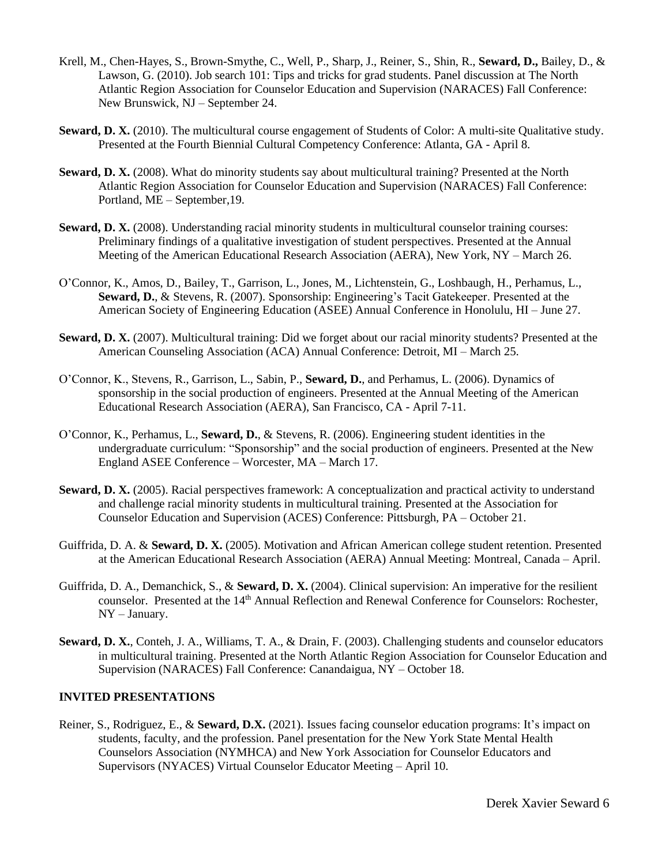- Krell, M., Chen-Hayes, S., Brown-Smythe, C., Well, P., Sharp, J., Reiner, S., Shin, R., **Seward, D.,** Bailey, D., & Lawson, G. (2010). Job search 101: Tips and tricks for grad students. Panel discussion at The North Atlantic Region Association for Counselor Education and Supervision (NARACES) Fall Conference: New Brunswick, NJ – September 24.
- **Seward, D. X.** (2010). The multicultural course engagement of Students of Color: A multi-site Qualitative study. Presented at the Fourth Biennial Cultural Competency Conference: Atlanta, GA - April 8.
- **Seward, D. X.** (2008). What do minority students say about multicultural training? Presented at the North Atlantic Region Association for Counselor Education and Supervision (NARACES) Fall Conference: Portland, ME – September,19.
- **Seward, D. X.** (2008). Understanding racial minority students in multicultural counselor training courses: Preliminary findings of a qualitative investigation of student perspectives. Presented at the Annual Meeting of the American Educational Research Association (AERA), New York, NY – March 26.
- O'Connor, K., Amos, D., Bailey, T., Garrison, L., Jones, M., Lichtenstein, G., Loshbaugh, H., Perhamus, L., **Seward, D.**, & Stevens, R. (2007). Sponsorship: Engineering's Tacit Gatekeeper. Presented at the American Society of Engineering Education (ASEE) Annual Conference in Honolulu, HI – June 27.
- **Seward, D. X.** (2007). Multicultural training: Did we forget about our racial minority students? Presented at the American Counseling Association (ACA) Annual Conference: Detroit, MI – March 25.
- O'Connor, K., Stevens, R., Garrison, L., Sabin, P., **Seward, D.**, and Perhamus, L. (2006). Dynamics of sponsorship in the social production of engineers. Presented at the Annual Meeting of the American Educational Research Association (AERA), San Francisco, CA - April 7-11.
- O'Connor, K., Perhamus, L., **Seward, D.**, & Stevens, R. (2006). Engineering student identities in the undergraduate curriculum: "Sponsorship" and the social production of engineers. Presented at the New England ASEE Conference – Worcester, MA – March 17.
- **Seward, D. X.** (2005). Racial perspectives framework: A conceptualization and practical activity to understand and challenge racial minority students in multicultural training. Presented at the Association for Counselor Education and Supervision (ACES) Conference: Pittsburgh, PA – October 21.
- Guiffrida, D. A. & **Seward, D. X.** (2005). Motivation and African American college student retention. Presented at the American Educational Research Association (AERA) Annual Meeting: Montreal, Canada – April.
- Guiffrida, D. A., Demanchick, S., & **Seward, D. X.** (2004). Clinical supervision: An imperative for the resilient counselor. Presented at the 14<sup>th</sup> Annual Reflection and Renewal Conference for Counselors: Rochester, NY – January.
- **Seward, D. X.**, Conteh, J. A., Williams, T. A., & Drain, F. (2003). Challenging students and counselor educators in multicultural training. Presented at the North Atlantic Region Association for Counselor Education and Supervision (NARACES) Fall Conference: Canandaigua, NY – October 18.

#### **INVITED PRESENTATIONS**

Reiner, S., Rodriguez, E., & **Seward, D.X.** (2021). Issues facing counselor education programs: It's impact on students, faculty, and the profession. Panel presentation for the New York State Mental Health Counselors Association (NYMHCA) and New York Association for Counselor Educators and Supervisors (NYACES) Virtual Counselor Educator Meeting – April 10.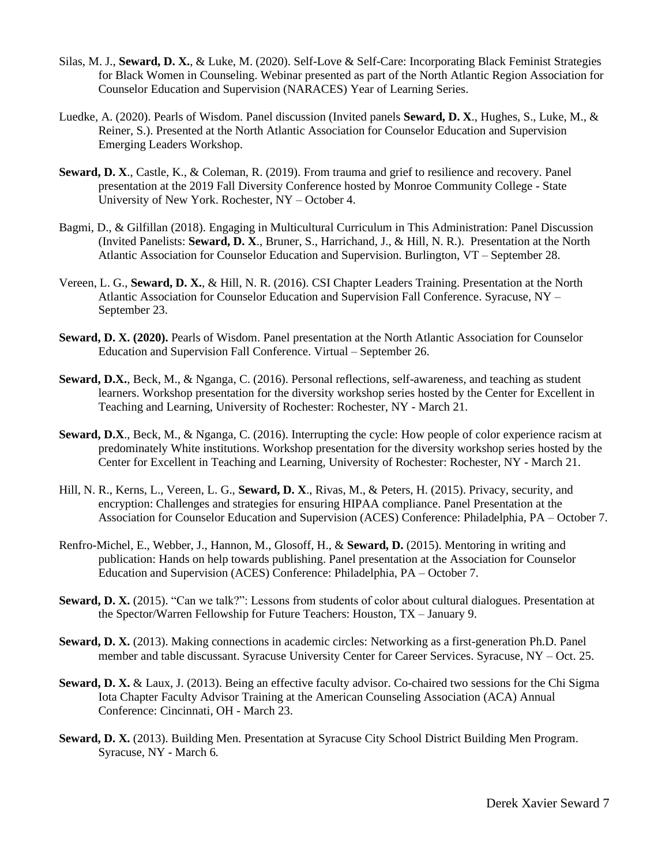- Silas, M. J., **Seward, D. X.**, & Luke, M. (2020). Self-Love & Self-Care: Incorporating Black Feminist Strategies for Black Women in Counseling. Webinar presented as part of the North Atlantic Region Association for Counselor Education and Supervision (NARACES) Year of Learning Series.
- Luedke, A. (2020). Pearls of Wisdom. Panel discussion (Invited panels **Seward, D. X**., Hughes, S., Luke, M., & Reiner, S.). Presented at the North Atlantic Association for Counselor Education and Supervision Emerging Leaders Workshop.
- **Seward, D. X**., Castle, K., & Coleman, R. (2019). From trauma and grief to resilience and recovery. Panel presentation at the 2019 Fall Diversity Conference hosted by Monroe Community College - State University of New York. Rochester, NY – October 4.
- Bagmi, D., & Gilfillan (2018). Engaging in Multicultural Curriculum in This Administration: Panel Discussion (Invited Panelists: **Seward, D. X**., Bruner, S., Harrichand, J., & Hill, N. R.). Presentation at the North Atlantic Association for Counselor Education and Supervision. Burlington, VT – September 28.
- Vereen, L. G., **Seward, D. X.**, & Hill, N. R. (2016). CSI Chapter Leaders Training. Presentation at the North Atlantic Association for Counselor Education and Supervision Fall Conference. Syracuse, NY – September 23.
- **Seward, D. X. (2020).** Pearls of Wisdom. Panel presentation at the North Atlantic Association for Counselor Education and Supervision Fall Conference. Virtual – September 26.
- **Seward, D.X.**, Beck, M., & Nganga, C. (2016). Personal reflections, self-awareness, and teaching as student learners. Workshop presentation for the diversity workshop series hosted by the Center for Excellent in Teaching and Learning, University of Rochester: Rochester, NY - March 21.
- **Seward, D.X**., Beck, M., & Nganga, C. (2016). Interrupting the cycle: How people of color experience racism at predominately White institutions. Workshop presentation for the diversity workshop series hosted by the Center for Excellent in Teaching and Learning, University of Rochester: Rochester, NY - March 21.
- Hill, N. R., Kerns, L., Vereen, L. G., **Seward, D. X**., Rivas, M., & Peters, H. (2015). Privacy, security, and encryption: Challenges and strategies for ensuring HIPAA compliance. Panel Presentation at the Association for Counselor Education and Supervision (ACES) Conference: Philadelphia, PA – October 7.
- Renfro-Michel, E., Webber, J., Hannon, M., Glosoff, H., & **Seward, D.** (2015). Mentoring in writing and publication: Hands on help towards publishing. Panel presentation at the Association for Counselor Education and Supervision (ACES) Conference: Philadelphia, PA – October 7.
- **Seward, D. X.** (2015). "Can we talk?": Lessons from students of color about cultural dialogues. Presentation at the Spector/Warren Fellowship for Future Teachers: Houston, TX – January 9.
- **Seward, D. X.** (2013). Making connections in academic circles: Networking as a first-generation Ph.D. Panel member and table discussant. Syracuse University Center for Career Services. Syracuse, NY – Oct. 25.
- **Seward, D. X.** & Laux, J. (2013). Being an effective faculty advisor. Co-chaired two sessions for the Chi Sigma Iota Chapter Faculty Advisor Training at the American Counseling Association (ACA) Annual Conference: Cincinnati, OH - March 23.
- **Seward, D. X.** (2013). Building Men. Presentation at Syracuse City School District Building Men Program. Syracuse, NY - March 6.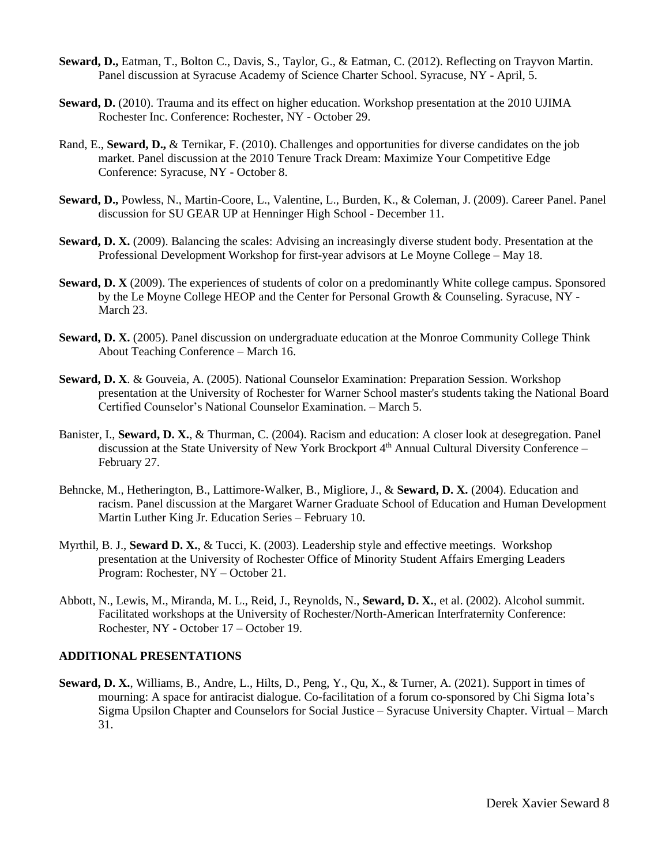- **Seward, D.,** Eatman, T., Bolton C., Davis, S., Taylor, G., & Eatman, C. (2012). Reflecting on Trayvon Martin. Panel discussion at Syracuse Academy of Science Charter School. Syracuse, NY - April, 5.
- **Seward, D.** (2010). Trauma and its effect on higher education. Workshop presentation at the 2010 UJIMA Rochester Inc. Conference: Rochester, NY - October 29.
- Rand, E., **Seward, D.,** & Ternikar, F. (2010). Challenges and opportunities for diverse candidates on the job market. Panel discussion at the 2010 Tenure Track Dream: Maximize Your Competitive Edge Conference: Syracuse, NY - October 8.
- **Seward, D.,** Powless, N., Martin-Coore, L., Valentine, L., Burden, K., & Coleman, J. (2009). Career Panel. Panel discussion for SU GEAR UP at Henninger High School - December 11.
- **Seward, D. X.** (2009). Balancing the scales: Advising an increasingly diverse student body. Presentation at the Professional Development Workshop for first-year advisors at Le Moyne College – May 18.
- **Seward, D. X** (2009). The experiences of students of color on a predominantly White college campus. Sponsored by the Le Moyne College HEOP and the Center for Personal Growth & Counseling. Syracuse, NY - March 23.
- **Seward, D. X.** (2005). Panel discussion on undergraduate education at the Monroe Community College Think About Teaching Conference – March 16.
- **Seward, D. X**. & Gouveia, A. (2005). National Counselor Examination: Preparation Session. Workshop presentation at the University of Rochester for Warner School master's students taking the National Board Certified Counselor's National Counselor Examination. – March 5.
- Banister, I., **Seward, D. X.**, & Thurman, C. (2004). Racism and education: A closer look at desegregation. Panel discussion at the State University of New York Brockport 4th Annual Cultural Diversity Conference – February 27.
- Behncke, M., Hetherington, B., Lattimore-Walker, B., Migliore, J., & **Seward, D. X.** (2004). Education and racism. Panel discussion at the Margaret Warner Graduate School of Education and Human Development Martin Luther King Jr. Education Series – February 10.
- Myrthil, B. J., **Seward D. X.**, & Tucci, K. (2003). Leadership style and effective meetings. Workshop presentation at the University of Rochester Office of Minority Student Affairs Emerging Leaders Program: Rochester, NY – October 21.
- Abbott, N., Lewis, M., Miranda, M. L., Reid, J., Reynolds, N., **Seward, D. X.**, et al. (2002). Alcohol summit. Facilitated workshops at the University of Rochester/North-American Interfraternity Conference: Rochester, NY - October 17 – October 19.

#### **ADDITIONAL PRESENTATIONS**

**Seward, D. X.**, Williams, B., Andre, L., Hilts, D., Peng, Y., Qu, X., & Turner, A. (2021). Support in times of mourning: A space for antiracist dialogue. Co-facilitation of a forum co-sponsored by Chi Sigma Iota's Sigma Upsilon Chapter and Counselors for Social Justice – Syracuse University Chapter. Virtual – March 31.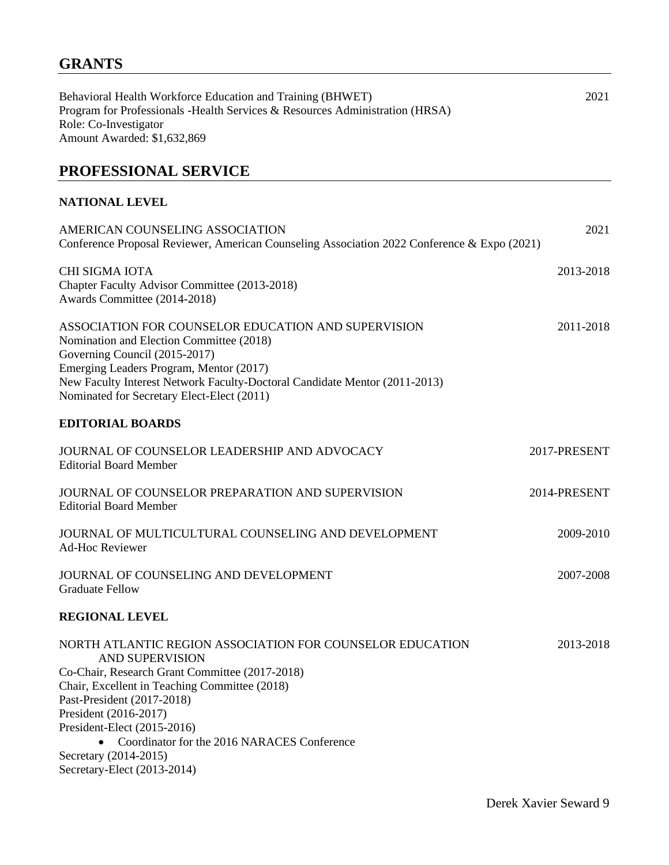Behavioral Health Workforce Education and Training (BHWET) 2021 Program for Professionals -Health Services & Resources Administration (HRSA) Role: Co-Investigator Amount Awarded: \$1,632,869

# **PROFESSIONAL SERVICE**

### **NATIONAL LEVEL**

| AMERICAN COUNSELING ASSOCIATION<br>Conference Proposal Reviewer, American Counseling Association 2022 Conference & Expo (2021)                                                                                                                                                                          | 2021         |
|---------------------------------------------------------------------------------------------------------------------------------------------------------------------------------------------------------------------------------------------------------------------------------------------------------|--------------|
| <b>CHI SIGMA IOTA</b><br>Chapter Faculty Advisor Committee (2013-2018)<br>Awards Committee (2014-2018)                                                                                                                                                                                                  | 2013-2018    |
| ASSOCIATION FOR COUNSELOR EDUCATION AND SUPERVISION<br>Nomination and Election Committee (2018)<br>Governing Council (2015-2017)<br>Emerging Leaders Program, Mentor (2017)<br>New Faculty Interest Network Faculty-Doctoral Candidate Mentor (2011-2013)<br>Nominated for Secretary Elect-Elect (2011) | 2011-2018    |
| <b>EDITORIAL BOARDS</b>                                                                                                                                                                                                                                                                                 |              |
| JOURNAL OF COUNSELOR LEADERSHIP AND ADVOCACY<br><b>Editorial Board Member</b>                                                                                                                                                                                                                           | 2017-PRESENT |
| JOURNAL OF COUNSELOR PREPARATION AND SUPERVISION<br><b>Editorial Board Member</b>                                                                                                                                                                                                                       | 2014-PRESENT |
| JOURNAL OF MULTICULTURAL COUNSELING AND DEVELOPMENT<br><b>Ad-Hoc Reviewer</b>                                                                                                                                                                                                                           | 2009-2010    |
| JOURNAL OF COUNSELING AND DEVELOPMENT<br><b>Graduate Fellow</b>                                                                                                                                                                                                                                         | 2007-2008    |
| <b>REGIONAL LEVEL</b>                                                                                                                                                                                                                                                                                   |              |
| NORTH ATLANTIC REGION ASSOCIATION FOR COUNSELOR EDUCATION<br><b>AND SUPERVISION</b><br>Co-Chair, Research Grant Committee (2017-2018)<br>Chair, Excellent in Teaching Committee (2018)<br>Past-President (2017-2018)<br>President (2016-2017)<br>President-Elect (2015-2016)                            | 2013-2018    |
| Coordinator for the 2016 NARACES Conference<br>$\bullet$<br>Secretary (2014-2015)<br>Secretary-Elect (2013-2014)                                                                                                                                                                                        |              |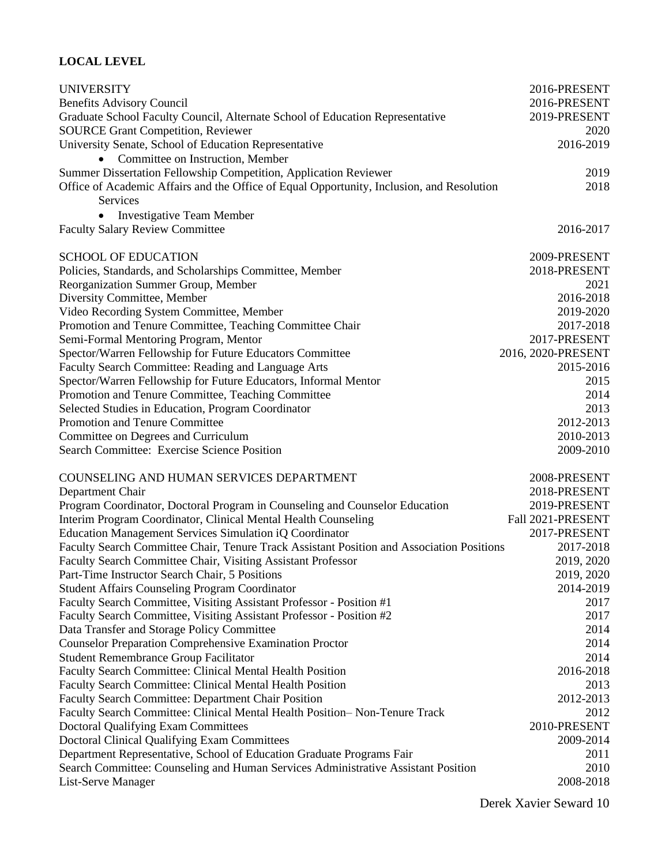### **LOCAL LEVEL**

| <b>UNIVERSITY</b>                                                                         | 2016-PRESENT       |
|-------------------------------------------------------------------------------------------|--------------------|
| <b>Benefits Advisory Council</b>                                                          | 2016-PRESENT       |
| Graduate School Faculty Council, Alternate School of Education Representative             | 2019-PRESENT       |
| <b>SOURCE Grant Competition, Reviewer</b>                                                 | 2020               |
| University Senate, School of Education Representative                                     | 2016-2019          |
| • Committee on Instruction, Member                                                        |                    |
| Summer Dissertation Fellowship Competition, Application Reviewer                          | 2019               |
| Office of Academic Affairs and the Office of Equal Opportunity, Inclusion, and Resolution | 2018               |
| Services                                                                                  |                    |
| <b>Investigative Team Member</b>                                                          |                    |
| <b>Faculty Salary Review Committee</b>                                                    | 2016-2017          |
|                                                                                           |                    |
| <b>SCHOOL OF EDUCATION</b>                                                                | 2009-PRESENT       |
| Policies, Standards, and Scholarships Committee, Member                                   | 2018-PRESENT       |
| Reorganization Summer Group, Member                                                       | 2021               |
| Diversity Committee, Member                                                               | 2016-2018          |
| Video Recording System Committee, Member                                                  | 2019-2020          |
| Promotion and Tenure Committee, Teaching Committee Chair                                  | 2017-2018          |
| Semi-Formal Mentoring Program, Mentor                                                     | 2017-PRESENT       |
| Spector/Warren Fellowship for Future Educators Committee                                  | 2016, 2020-PRESENT |
| Faculty Search Committee: Reading and Language Arts                                       | 2015-2016          |
| Spector/Warren Fellowship for Future Educators, Informal Mentor                           | 2015               |
| Promotion and Tenure Committee, Teaching Committee                                        | 2014               |
| Selected Studies in Education, Program Coordinator                                        | 2013               |
| Promotion and Tenure Committee                                                            | 2012-2013          |
| Committee on Degrees and Curriculum                                                       | 2010-2013          |
| Search Committee: Exercise Science Position                                               | 2009-2010          |
|                                                                                           |                    |
| COUNSELING AND HUMAN SERVICES DEPARTMENT                                                  | 2008-PRESENT       |
| Department Chair                                                                          | 2018-PRESENT       |
| Program Coordinator, Doctoral Program in Counseling and Counselor Education               | 2019-PRESENT       |
| Interim Program Coordinator, Clinical Mental Health Counseling                            | Fall 2021-PRESENT  |
| Education Management Services Simulation iQ Coordinator                                   | 2017-PRESENT       |
| Faculty Search Committee Chair, Tenure Track Assistant Position and Association Positions | 2017-2018          |
| Faculty Search Committee Chair, Visiting Assistant Professor                              | 2019, 2020         |
| Part-Time Instructor Search Chair, 5 Positions                                            | 2019, 2020         |
| <b>Student Affairs Counseling Program Coordinator</b>                                     | 2014-2019          |
| Faculty Search Committee, Visiting Assistant Professor - Position #1                      | 2017               |
| Faculty Search Committee, Visiting Assistant Professor - Position #2                      | 2017               |
| Data Transfer and Storage Policy Committee                                                | 2014               |
| <b>Counselor Preparation Comprehensive Examination Proctor</b>                            | 2014               |
| <b>Student Remembrance Group Facilitator</b>                                              | 2014               |
| Faculty Search Committee: Clinical Mental Health Position                                 | 2016-2018          |
| Faculty Search Committee: Clinical Mental Health Position                                 | 2013               |
| <b>Faculty Search Committee: Department Chair Position</b>                                | 2012-2013          |
| Faculty Search Committee: Clinical Mental Health Position-Non-Tenure Track                | 2012               |
| <b>Doctoral Qualifying Exam Committees</b>                                                | 2010-PRESENT       |
| Doctoral Clinical Qualifying Exam Committees                                              | 2009-2014          |
| Department Representative, School of Education Graduate Programs Fair                     | 2011               |
| Search Committee: Counseling and Human Services Administrative Assistant Position         | 2010               |
| List-Serve Manager                                                                        | 2008-2018          |
|                                                                                           |                    |

Derek Xavier Seward 10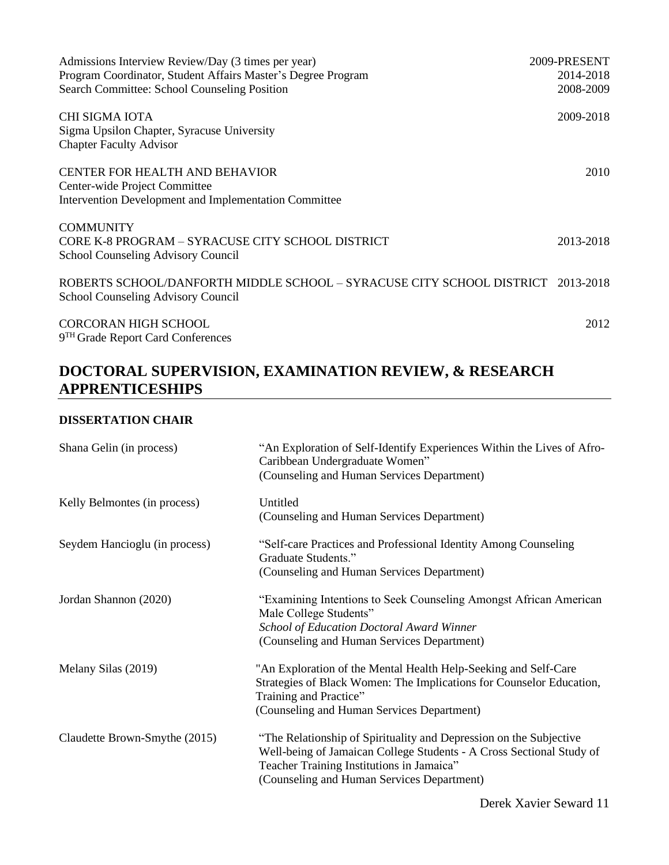| Admissions Interview Review/Day (3 times per year)                                                                    | 2009-PRESENT |
|-----------------------------------------------------------------------------------------------------------------------|--------------|
| Program Coordinator, Student Affairs Master's Degree Program                                                          | 2014-2018    |
| Search Committee: School Counseling Position                                                                          | 2008-2009    |
| CHI SIGMA IOTA<br>Sigma Upsilon Chapter, Syracuse University<br><b>Chapter Faculty Advisor</b>                        | 2009-2018    |
| <b>CENTER FOR HEALTH AND BEHAVIOR</b><br>Center-wide Project Committee                                                | 2010         |
| Intervention Development and Implementation Committee                                                                 |              |
| <b>COMMUNITY</b><br>CORE K-8 PROGRAM – SYRACUSE CITY SCHOOL DISTRICT<br>School Counseling Advisory Council            | 2013-2018    |
| ROBERTS SCHOOL/DANFORTH MIDDLE SCHOOL – SYRACUSE CITY SCHOOL DISTRICT 2013-2018<br>School Counseling Advisory Council |              |
| <b>CORCORAN HIGH SCHOOL</b><br>9 <sup>TH</sup> Grade Report Card Conferences                                          | 2012         |

# **DOCTORAL SUPERVISION, EXAMINATION REVIEW, & RESEARCH APPRENTICESHIPS**

### **DISSERTATION CHAIR**

| Shana Gelin (in process)      | "An Exploration of Self-Identify Experiences Within the Lives of Afro-<br>Caribbean Undergraduate Women"<br>(Counseling and Human Services Department)                                                                                |
|-------------------------------|---------------------------------------------------------------------------------------------------------------------------------------------------------------------------------------------------------------------------------------|
| Kelly Belmontes (in process)  | Untitled<br>(Counseling and Human Services Department)                                                                                                                                                                                |
| Seydem Hancioglu (in process) | "Self-care Practices and Professional Identity Among Counseling<br>Graduate Students."<br>(Counseling and Human Services Department)                                                                                                  |
| Jordan Shannon (2020)         | "Examining Intentions to Seek Counseling Amongst African American<br>Male College Students"<br><b>School of Education Doctoral Award Winner</b><br>(Counseling and Human Services Department)                                         |
| Melany Silas (2019)           | "An Exploration of the Mental Health Help-Seeking and Self-Care<br>Strategies of Black Women: The Implications for Counselor Education,<br>Training and Practice"<br>(Counseling and Human Services Department)                       |
| Claudette Brown-Smythe (2015) | "The Relationship of Spirituality and Depression on the Subjective<br>Well-being of Jamaican College Students - A Cross Sectional Study of<br>Teacher Training Institutions in Jamaica"<br>(Counseling and Human Services Department) |

Derek Xavier Seward 11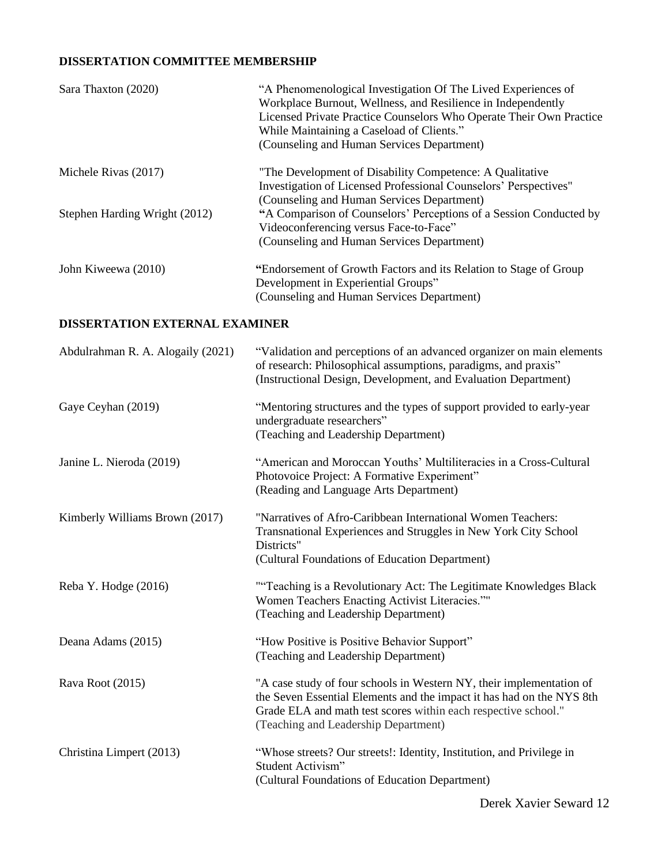### **DISSERTATION COMMITTEE MEMBERSHIP**

| Sara Thaxton (2020)           | "A Phenomenological Investigation Of The Lived Experiences of<br>Workplace Burnout, Wellness, and Resilience in Independently<br>Licensed Private Practice Counselors Who Operate Their Own Practice<br>While Maintaining a Caseload of Clients."<br>(Counseling and Human Services Department) |
|-------------------------------|-------------------------------------------------------------------------------------------------------------------------------------------------------------------------------------------------------------------------------------------------------------------------------------------------|
| Michele Rivas (2017)          | "The Development of Disability Competence: A Qualitative<br>Investigation of Licensed Professional Counselors' Perspectives"                                                                                                                                                                    |
| Stephen Harding Wright (2012) | (Counseling and Human Services Department)<br>"A Comparison of Counselors' Perceptions of a Session Conducted by                                                                                                                                                                                |
|                               | Videoconferencing versus Face-to-Face"                                                                                                                                                                                                                                                          |
|                               | (Counseling and Human Services Department)                                                                                                                                                                                                                                                      |
| John Kiweewa (2010)           | "Endorsement of Growth Factors and its Relation to Stage of Group                                                                                                                                                                                                                               |
|                               | Development in Experiential Groups"                                                                                                                                                                                                                                                             |
|                               | (Counseling and Human Services Department)                                                                                                                                                                                                                                                      |

### **DISSERTATION EXTERNAL EXAMINER**

| Abdulrahman R. A. Alogaily (2021) | "Validation and perceptions of an advanced organizer on main elements<br>of research: Philosophical assumptions, paradigms, and praxis"<br>(Instructional Design, Development, and Evaluation Department)                                               |
|-----------------------------------|---------------------------------------------------------------------------------------------------------------------------------------------------------------------------------------------------------------------------------------------------------|
| Gaye Ceyhan (2019)                | "Mentoring structures and the types of support provided to early-year<br>undergraduate researchers"<br>(Teaching and Leadership Department)                                                                                                             |
| Janine L. Nieroda (2019)          | "American and Moroccan Youths' Multiliteracies in a Cross-Cultural<br>Photovoice Project: A Formative Experiment"<br>(Reading and Language Arts Department)                                                                                             |
| Kimberly Williams Brown (2017)    | "Narratives of Afro-Caribbean International Women Teachers:<br>Transnational Experiences and Struggles in New York City School<br>Districts"<br>(Cultural Foundations of Education Department)                                                          |
| Reba Y. Hodge (2016)              | ""Teaching is a Revolutionary Act: The Legitimate Knowledges Black<br>Women Teachers Enacting Activist Literacies.""<br>(Teaching and Leadership Department)                                                                                            |
| Deana Adams (2015)                | "How Positive is Positive Behavior Support"<br>(Teaching and Leadership Department)                                                                                                                                                                     |
| Rava Root (2015)                  | "A case study of four schools in Western NY, their implementation of<br>the Seven Essential Elements and the impact it has had on the NYS 8th<br>Grade ELA and math test scores within each respective school."<br>(Teaching and Leadership Department) |
| Christina Limpert (2013)          | "Whose streets? Our streets!: Identity, Institution, and Privilege in<br>Student Activism"<br>(Cultural Foundations of Education Department)                                                                                                            |

Derek Xavier Seward 12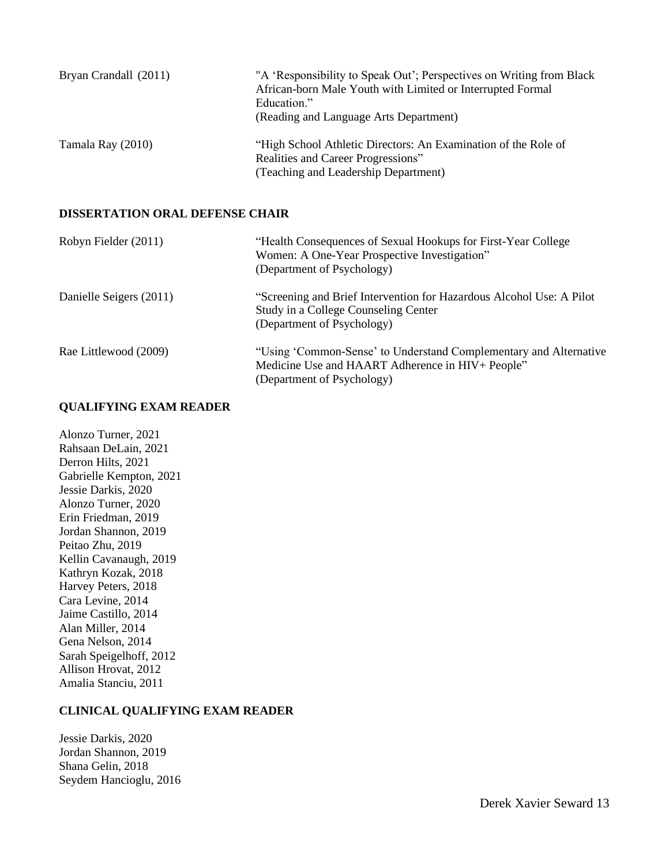| Bryan Crandall (2011) | "A 'Responsibility to Speak Out'; Perspectives on Writing from Black<br>African-born Male Youth with Limited or Interrupted Formal<br>Education."<br>(Reading and Language Arts Department) |
|-----------------------|---------------------------------------------------------------------------------------------------------------------------------------------------------------------------------------------|
| Tamala Ray (2010)     | "High School Athletic Directors: An Examination of the Role of<br>Realities and Career Progressions"<br>(Teaching and Leadership Department)                                                |

#### **DISSERTATION ORAL DEFENSE CHAIR**

| Robyn Fielder (2011)    | "Health Consequences of Sexual Hookups for First-Year College<br>Women: A One-Year Prospective Investigation"<br>(Department of Psychology)         |
|-------------------------|-----------------------------------------------------------------------------------------------------------------------------------------------------|
| Danielle Seigers (2011) | "Screening and Brief Intervention for Hazardous Alcohol Use: A Pilot<br>Study in a College Counseling Center<br>(Department of Psychology)          |
| Rae Littlewood (2009)   | "Using 'Common-Sense' to Understand Complementary and Alternative<br>Medicine Use and HAART Adherence in HIV+ People"<br>(Department of Psychology) |

#### **QUALIFYING EXAM READER**

Alonzo Turner, 2021 Rahsaan DeLain, 2021 Derron Hilts, 2021 Gabrielle Kempton, 2021 Jessie Darkis, 2020 Alonzo Turner, 2020 Erin Friedman, 2019 Jordan Shannon, 2019 Peitao Zhu, 2019 Kellin Cavanaugh, 2019 Kathryn Kozak, 2018 Harvey Peters, 2018 Cara Levine, 2014 Jaime Castillo, 2014 Alan Miller, 2014 Gena Nelson, 2014 Sarah Speigelhoff, 2012 Allison Hrovat, 2012 Amalia Stanciu, 2011

#### **CLINICAL QUALIFYING EXAM READER**

Jessie Darkis, 2020 Jordan Shannon, 2019 Shana Gelin, 2018 Seydem Hancioglu, 2016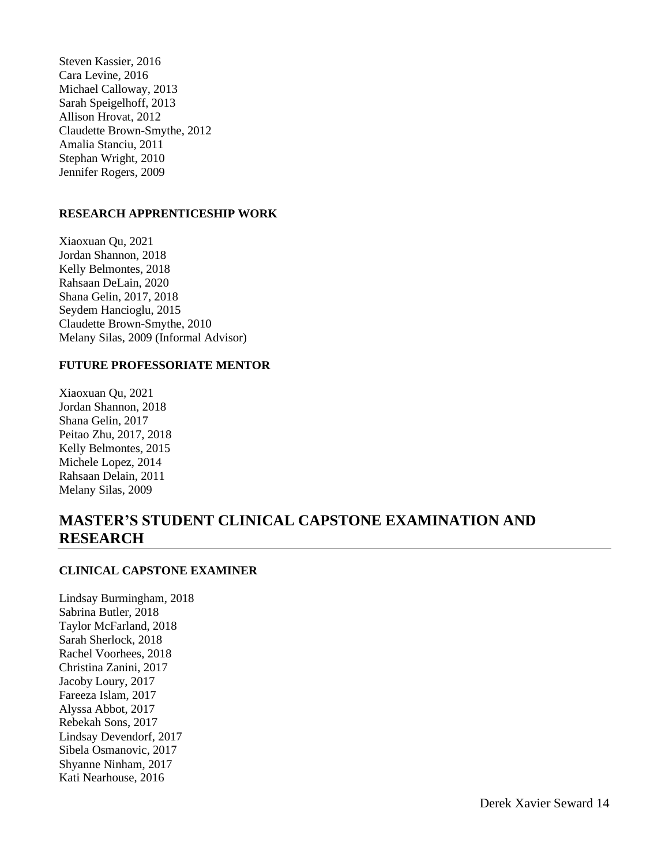Steven Kassier, 2016 Cara Levine, 2016 Michael Calloway, 2013 Sarah Speigelhoff, 2013 Allison Hrovat, 2012 Claudette Brown-Smythe, 2012 Amalia Stanciu, 2011 Stephan Wright, 2010 Jennifer Rogers, 2009

### **RESEARCH APPRENTICESHIP WORK**

Xiaoxuan Qu, 2021 Jordan Shannon, 2018 Kelly Belmontes, 2018 Rahsaan DeLain, 2020 Shana Gelin, 2017, 2018 Seydem Hancioglu, 2015 Claudette Brown-Smythe, 2010 Melany Silas, 2009 (Informal Advisor)

#### **FUTURE PROFESSORIATE MENTOR**

Xiaoxuan Qu, 2021 Jordan Shannon, 2018 Shana Gelin, 2017 Peitao Zhu, 2017, 2018 Kelly Belmontes, 2015 Michele Lopez, 2014 Rahsaan Delain, 2011 Melany Silas, 2009

### **MASTER'S STUDENT CLINICAL CAPSTONE EXAMINATION AND RESEARCH**

### **CLINICAL CAPSTONE EXAMINER**

Lindsay Burmingham, 2018 Sabrina Butler, 2018 Taylor McFarland, 2018 Sarah Sherlock, 2018 Rachel Voorhees, 2018 Christina Zanini, 2017 Jacoby Loury, 2017 Fareeza Islam, 2017 Alyssa Abbot, 2017 Rebekah Sons, 2017 Lindsay Devendorf, 2017 Sibela Osmanovic, 2017 Shyanne Ninham, 2017 Kati Nearhouse, 2016